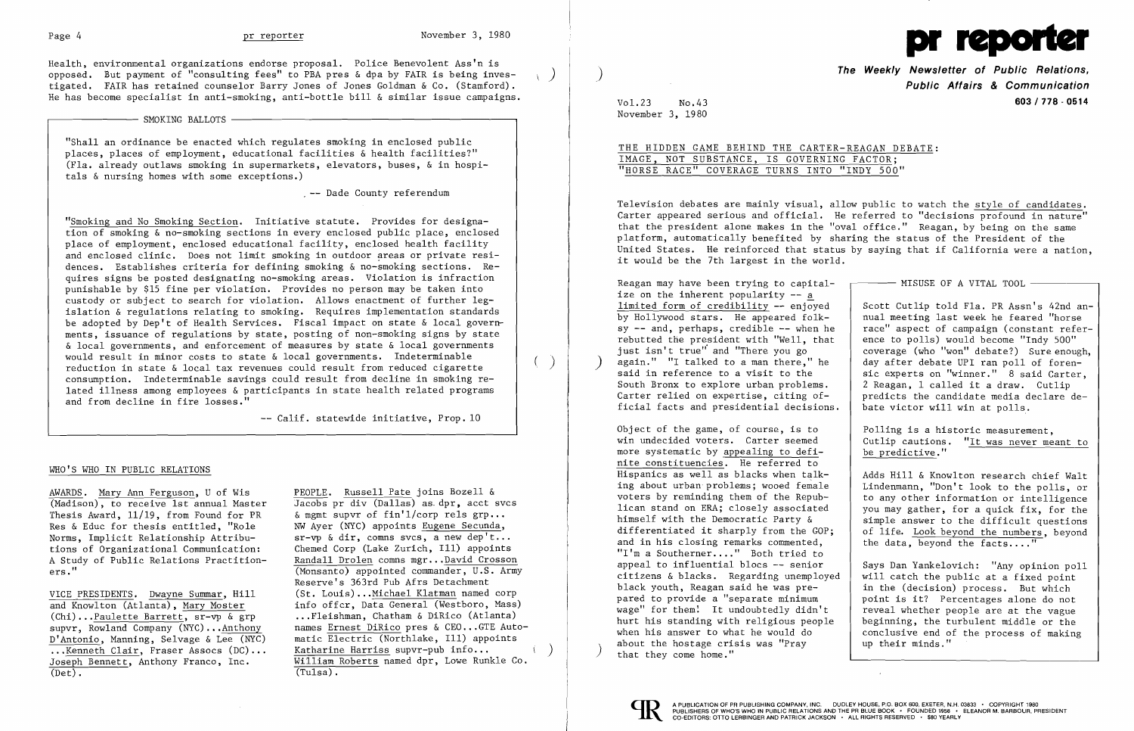

Health, environmental organizations endorse proposal. Police Benevolent Ass'n is opposed. But payment of "consulting fees" to PBA pres & dpa by FAIR is being inves tigated. FAIR has retained counselor Barry Jones of Jones Goldman & Co. (Stamford). He has become specialist in anti-smoking, anti-bottle bill & similar issue campaigns.

# $-$  SMOKING BALLOTS  $-$

"Shall an ordinance be enacted which regulates smoking in enclosed public places, places of employment, educational facilities & health facilities?" (Fla. already outlaws smoking in supermarkets, elevators, buses, & in hospitals & nursing homes with some exceptions.)

 $\sim$  -- Dade County referendum

"Smoking and No Smoking Section. Initiative statute. Provides for designation of smoking & no-smoking sections in every enclosed public place, enclosed place of employment, enclosed educational facility, enclosed health facility and enclosed clinic. Does not limit smoking in outdoor areas or private residences. Establishes criteria for defining smoking & no-smoking sections. Requires signs be posted designating no-smoking areas. Violation is infraction punishable by \$15 fine per violation. Provides no person may be taken into custody or subject to search for violation. Allows enactment of further legislation & regulations relating to smoking. Requires implementation standards be adopted by Dep't of Health Services. Fiscal impact on state & local governments, issuance of regulations by state, posting of non-smoking signs by state & local governments, and enforcement of measures by state & local governments would result in minor costs to state & local governments. Indeterminable  $( )$ <br>reduction in state & local tax revenues could result from reduced cigarette  $( )$ consumption. Indeterminable savings could result from decline in smoking related illness among employees & participants in state health related programs and from decline in fire losses."

Jacobs pr div (Dallas) as. dpr, acct svcs<br>& memt supvr of fin'l/corp rels grp...  $sr-vp \& dir, comns svcs, a new dep't...$ <br>Chemed Corp (Lake Zurich, I11) appoints A Study of Public Relations Practition-<br>
(Monsanto) appointed commander, U.S. Arm  $\overline{\text{(Monsanto)}}$  appointed commander, U.S. Army Reserve's 363rd Pub Afrs Detachment VICE PRESIDENTS. Dwayne Summar, Hill (St. Louis)...Michael Klatman named corp<br>and Knowlton (Atlanta). Mary Moster info offer. Data General (Westboro, Mass) (Chi)...Paulette Barrett,  $s - \sqrt{a}$  grp ...Fleishman, Chatham & DiRico (Atlanta)<br>supvr, Rowland Company (NYC)...Anthony names Ernest DiRico pres & CEO...GTE Auto names Ernest DiRico pres & CEO...GTE Automatic Electric (Northlake, Ill) appoints Katharine Harriss supvr-pub info... William Roberts named dpr, Lowe Runkle Co.

THE HIDDEN GAME BEHIND THE CARTER-REAGAN DEBATE: IMAGE, NOT SUBSTANCE, IS GOVERNING FACTOR; "HORSE RACE" COVERAGE TURNS INTO "INDY 500"

-- Calif. statewide initiative, Prop. 10

### WHO'S WHO IN PUBLIC RELATIONS

AWARDS. Mary Ann Ferguson, U of Wis<br>
(Madison), to receive 1st annual Master (Jacobs pr div (Dallas) as dpr, acct s Thesis Award,  $11/19$ , from Found for PR Res & Educ for thesis entitled, "Role  $N$ W Ayer (NYC) appoints Eugene Secunda,<br>Norms. Implicit Relationship Attribu-<br> $sr$ -vp & dir, comns svcs, a new dep't.. tions of Organizational Communication:<br>A Study of Public Relations Practition-

and Knowlton (Atlanta), Mary Moster D'Antonio, Manning, Selvage & Lee (NYC) ••• Kenneth Clair, Fraser Assocs (DC) .•. Joseph Bennett, Anthony Franco, Inc.  $(\text{Det}).$   $(\text{Tulsa}).$  Object of the game, of course, is to Polling is a historic measurement, more systematic by appealing to definite constituencies. He referred to<br>Hispanics as well as blacks when talk-Hispanics as well as blacks when  $t$ alk  $-$  Adds Hill & Knowlton research chief Walt ing about urban problems: wooed female  $\begin{array}{c} \hline \end{array}$  Lindenmann. "Don't look to the polls or and in his closing remarks commented, "I'm a Southerner...." Both tried to appeal to influential blocs -- senior citizens & blacks. Regarding unemployed<br>black youth. Reagan said he was prepared to provide a "separate minimum<br>wage" for them! It undoubtedly didn't wage" for them: It undoubtedly didn't  $\begin{array}{|l|} \hline \end{array}$  reveal whether people are at the vague hurt his standing with religious people  $\begin{array}{|l|} \hline \end{array}$  beginning, the turbulent middle or the when his answer to what he would do  $\begin{array}{|l|l|} \hline \text{conclusive end of the process of making about the hostage crisis was "Prav} & \text{up their minds."} \hline \end{array}$ about the hostage crisis was "Pray that they come home."

)

**The Weekly Newsletter of Public Relations,** ) **Public Affairs & Communication**  Vol.23 No.43 **603/778 - 0514** 

## -- MISUSE OF A VITAL TOOL-

Scott Cutlip told Fla. PR Assn's 42nd an-<br>nual meeting last week he feared "horse race" aspect of campaign (constant refer-<br>ence to polls) would become "Indy 500" coverage (who "won" debate?) Sure enough,<br>day after debate UPI ran poll of forensic experts on "winner." 8 said Carter,<br>2 Reagan. 1 called it a draw. Cutlip predicts the candidate media declare de-<br>bate victor will win at polls.

November 3, 1980

Television debates are mainly visual, allow public to watch the style of candidates. Carter appeared serious and official. He referred to "decisions profound in nature" that the president alone makes in the "oval office." Reagan, by being on the same platform, automatically benefited by sharing the status of the President of the United States. He reinforced that status by saying that if California were a nation, it would be the 7th largest in the world.

Reagan may have been trying to capitalize on the inherent popularity -- a limited form of credibility -- enjoyed by Hollywood stars. He appeared folk-<br>sy -- and, perhaps, credible -- when he rebutted the president with "Well, that just isn't true" and "There you go again." "I talked to a man there," he said in reference to a visit to the South Bronx to explore urban problems.<br>Carter relied on expertise, citing official facts and presidential decisions.

I

Cutlip cautions. "It was never meant to<br>be predictive."

ing about urban problems; wooed female | Lindenmann, "Don't look to the polls, or voters by reminding them of the Repubvoters by reminding them of the Repub-  $\vert$  to any other information or intelligence<br>lican stand on ERA; closely associated  $\vert$  you may gather, for a quick fix, for the lican stand on ERA; closely associated you may gather, for a quick fix, for the himself with the Democratic Party  $\&$  simple answer to the difficult questions himself with the Democratic Party  $\&$  simple answer to the difficult questions differentiated it sharply from the GOP; of life. Look beyond the numbers, beyond of life. Look beyond the numbers, beyond the data, beyond the facts...."

> Says Dan Yankelovich: "Any opinion poll<br>will catch the public at a fixed point in the (decision) process. But which<br>point is it? Percentages alone do not heginning, the turbulent middle or the